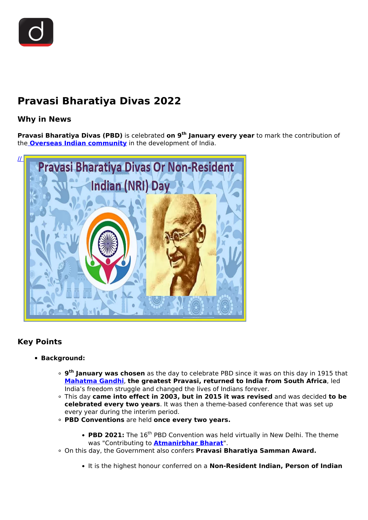

# **Pravasi Bharatiya Divas 2022**

## **Why in News**

**Pravasi Bharatiya Divas (PBD)** is celebrated **on 9th January every year** to mark the contribution of the **[Overseas Indian community](/daily-updates/daily-news-editorials/india-s-diaspora)** in the development of India.



### **Key Points**

#### **Background:**

- **9 th January was chosen** as the day to celebrate PBD since it was on this day in 1915 that **[Mahatma Gandhi](/daily-updates/daily-news-analysis/mahatma-gandhi-jayanti)**, **the greatest Pravasi, returned to India from South Africa**, led India's freedom struggle and changed the lives of Indians forever.
- This day **came into effect in 2003, but in 2015 it was revised** and was decided **to be celebrated every two years**. It was then a theme-based conference that was set up every year during the interim period.
- **PBD Conventions** are held **once every two years.**
	- PBD 2021: The 16<sup>th</sup> PBD Convention was held virtually in New Delhi. The theme was "Contributing to **[Atmanirbhar Bharat](/daily-updates/daily-news-analysis/atmanirbhar-bharat-and-economic-stimulus)**".
- On this day, the Government also confers **Pravasi Bharatiya Samman Award.**
	- It is the highest honour conferred on a **Non-Resident Indian, Person of Indian**